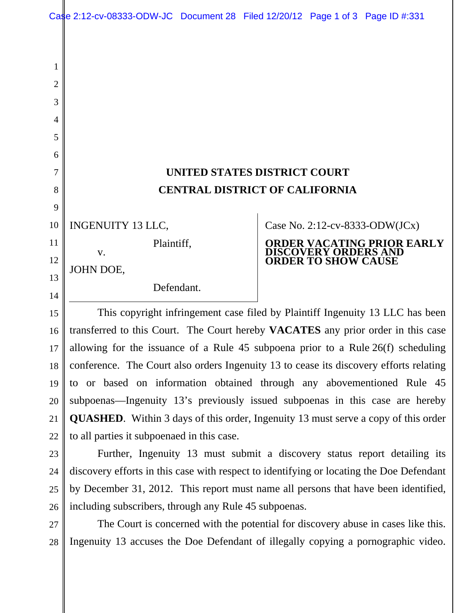Case 2:12-cv-08333-ODW-JC Document 28 Filed 12/20/12 Page 1 of 3 Page ID #:331

## **UNITED STATES DISTRICT COURT CENTRAL DISTRICT OF CALIFORNIA**

INGENUITY 13 LLC,

Plaintiff,

JOHN DOE,

1

2

3

4

5

6

7

8

9

10

11

12

13

14

15

16

17

18

19

20

21

22

23

24

25

26

v.

Defendant.

Case No. 2:12-cv-8333-ODW(JCx)

## **ORDER VACATING PRIOR EARLY DISCOVERY ORDERS AND ORDER TO SHOW CAUSE**

This copyright infringement case filed by Plaintiff Ingenuity 13 LLC has been transferred to this Court. The Court hereby **VACATES** any prior order in this case allowing for the issuance of a Rule 45 subpoena prior to a Rule 26(f) scheduling conference. The Court also orders Ingenuity 13 to cease its discovery efforts relating to or based on information obtained through any abovementioned Rule 45 subpoenas—Ingenuity 13's previously issued subpoenas in this case are hereby **QUASHED**. Within 3 days of this order, Ingenuity 13 must serve a copy of this order to all parties it subpoenaed in this case.

Further, Ingenuity 13 must submit a discovery status report detailing its discovery efforts in this case with respect to identifying or locating the Doe Defendant by December 31, 2012. This report must name all persons that have been identified, including subscribers, through any Rule 45 subpoenas.

The Court is concerned with the potential for discovery abuse in cases like this. Ingenuity 13 accuses the Doe Defendant of illegally copying a pornographic video. 27 28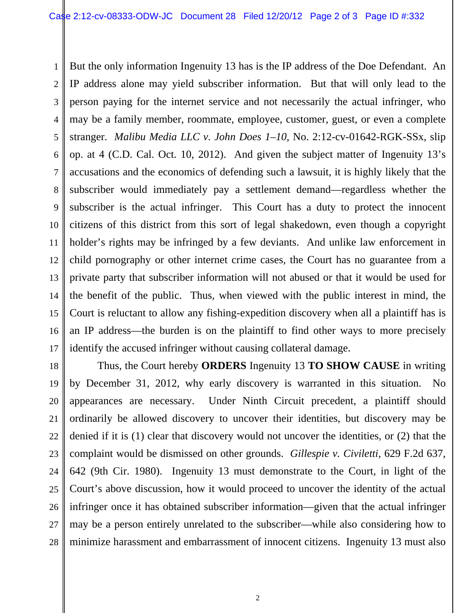1 2 3 4 5 6 7 8 9 10 11 12 13 14 15 16 17 But the only information Ingenuity 13 has is the IP address of the Doe Defendant. An IP address alone may yield subscriber information. But that will only lead to the person paying for the internet service and not necessarily the actual infringer, who may be a family member, roommate, employee, customer, guest, or even a complete stranger. *Malibu Media LLC v. John Does 1–10*, No. 2:12-cv-01642-RGK-SSx, slip op. at 4 (C.D. Cal. Oct. 10, 2012). And given the subject matter of Ingenuity 13's accusations and the economics of defending such a lawsuit, it is highly likely that the subscriber would immediately pay a settlement demand—regardless whether the subscriber is the actual infringer. This Court has a duty to protect the innocent citizens of this district from this sort of legal shakedown, even though a copyright holder's rights may be infringed by a few deviants. And unlike law enforcement in child pornography or other internet crime cases, the Court has no guarantee from a private party that subscriber information will not abused or that it would be used for the benefit of the public. Thus, when viewed with the public interest in mind, the Court is reluctant to allow any fishing-expedition discovery when all a plaintiff has is an IP address—the burden is on the plaintiff to find other ways to more precisely identify the accused infringer without causing collateral damage.

18 19 20 21 22 23 24 25 26 27 28 Thus, the Court hereby **ORDERS** Ingenuity 13 **TO SHOW CAUSE** in writing by December 31, 2012, why early discovery is warranted in this situation. No appearances are necessary. Under Ninth Circuit precedent, a plaintiff should ordinarily be allowed discovery to uncover their identities, but discovery may be denied if it is (1) clear that discovery would not uncover the identities, or (2) that the complaint would be dismissed on other grounds. *Gillespie v. Civiletti*, 629 F.2d 637, 642 (9th Cir. 1980). Ingenuity 13 must demonstrate to the Court, in light of the Court's above discussion, how it would proceed to uncover the identity of the actual infringer once it has obtained subscriber information—given that the actual infringer may be a person entirely unrelated to the subscriber—while also considering how to minimize harassment and embarrassment of innocent citizens. Ingenuity 13 must also